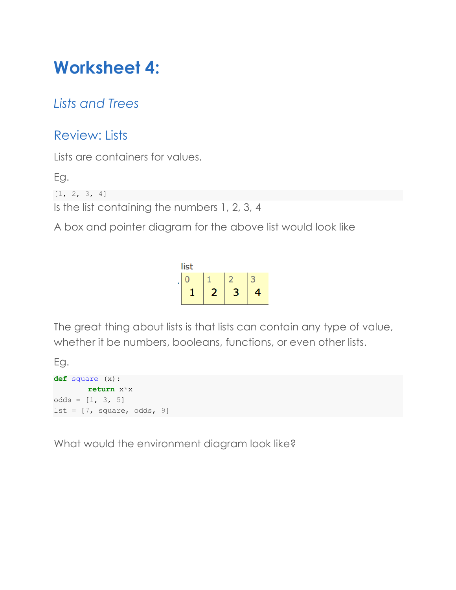# **Worksheet 4:**

# *Lists and Trees*

# Review: Lists

Lists are containers for values.

Eg.

 $[1, 2, 3, 4]$ 

Is the list containing the numbers 1, 2, 3, 4

A box and pointer diagram for the above list would look like

list  $\overline{0}$  $1$  $2<sup>2</sup>$ 3  $\overline{2}$  $\overline{3}$  $\mathbf{1}$  $\overline{4}$ 

The great thing about lists is that lists can contain any type of value, whether it be numbers, booleans, functions, or even other lists.

Eg.

```
def square (x):
       return x*x
odds = [1, 3, 5]lst = [7, square, odds, 9]
```
What would the environment diagram look like?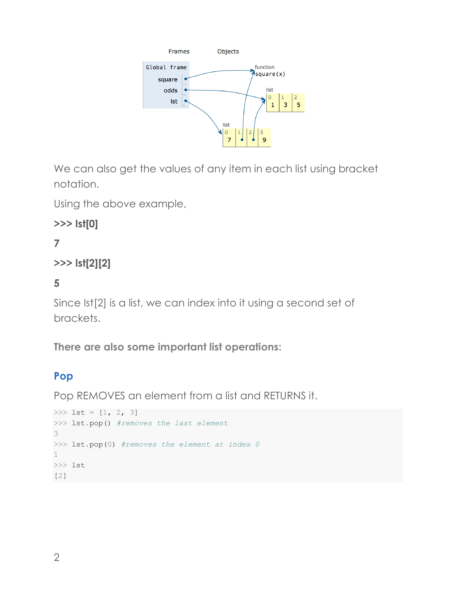

We can also get the values of any item in each list using bracket notation.

Using the above example,

**>>> lst[0]**

**7**

```
>>> lst[2][2]
```
**5**

Since lst[2] is a list, we can index into it using a second set of brackets.

**There are also some important list operations:**

#### **Pop**

Pop REMOVES an element from a list and RETURNS it.

```
>>> 1st = [1, 2, 3]>>> lst.pop() #removes the last element
3
>>> lst.pop(0) #removes the element at index 0
1
>>> lst
[2]
```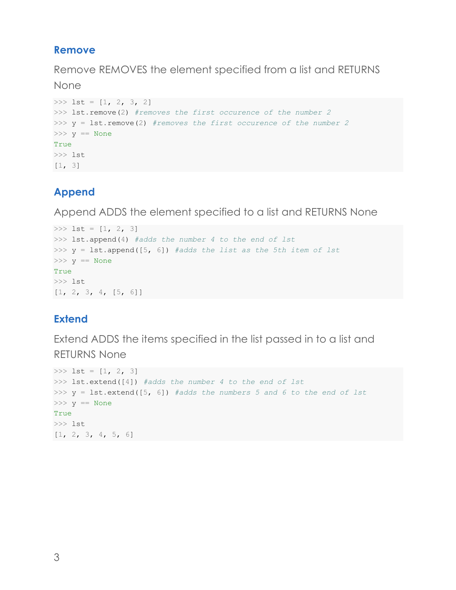#### **Remove**

Remove REMOVES the element specified from a list and RETURNS

None

```
>>> 1st = [1, 2, 3, 2]>>> lst.remove(2) #removes the first occurence of the number 2
>>> y = lst.remove(2) #removes the first occurence of the number 2
\gg y == None
True
>>> lst
[1, 3]
```
## **Append**

Append ADDS the element specified to a list and RETURNS None

```
>>> 1st = [1, 2, 3]>>> lst.append(4) #adds the number 4 to the end of lst
>>> y = lst.append([5, 6]) #adds the list as the 5th item of lst
\gg y == None
True
>>> lst
[1, 2, 3, 4, [5, 6]]
```
## **Extend**

Extend ADDS the items specified in the list passed in to a list and RETURNS None

```
>> lst = [1, 2, 3]>>> lst.extend([4]) #adds the number 4 to the end of lst
>>> y = lst.extend([5, 6]) #adds the numbers 5 and 6 to the end of lst
>> y == None
True
>>> lst
[1, 2, 3, 4, 5, 6]
```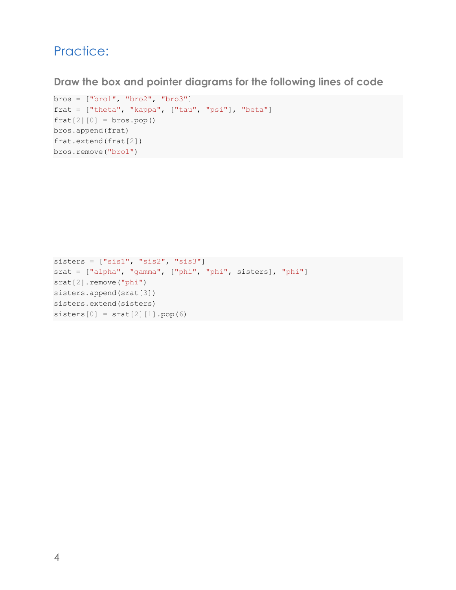## Practice:

**Draw the box and pointer diagrams for the following lines of code**

```
bros = ["bro1", "bro2", "bro3"]frat = ["theta", "kappa", ["tau", "psi"], "beta"]
frat[2][0] = bros.pop()bros.append(frat)
frat.extend(frat[2])
bros.remove("bro1")
```

```
sisters = ["sis1", "sis2", "sis3"]srat = ["alpha", "gamma", ["phi", "phi", sisters], "phi"]
srat[2].remove("phi")
sisters.append(srat[3])
sisters.extend(sisters)
sisters[0] = \text{srat}[2][1].pop(6)
```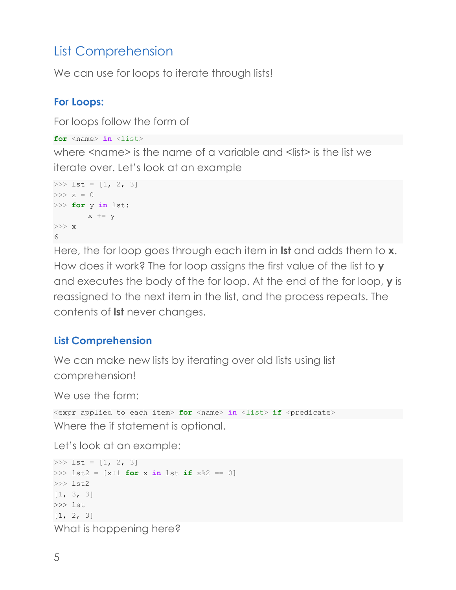# List Comprehension

We can use for loops to iterate through lists!

### **For Loops:**

For loops follow the form of

```
for <name> in <list>
```
where  $\leq$ name> is the name of a variable and  $\leq$  list> is the list we iterate over. Let's look at an example

```
>>> 1st = [1, 2, 3]>>\;x\;=\;0>>> for y in lst:
        x \leftarrow + = y>>> x
6<sup>1</sup>
```
Here, the for loop goes through each item in **lst** and adds them to **x**. How does it work? The for loop assigns the first value of the list to **y** and executes the body of the for loop. At the end of the for loop, **y** is reassigned to the next item in the list, and the process repeats. The contents of **lst** never changes.

## **List Comprehension**

We can make new lists by iterating over old lists using list comprehension!

We use the form:

```
<expr applied to each item> for <name> in <list> if <predicate>
Where the if statement is optional.
```
Let's look at an example:

```
>>> 1st = [1, 2, 3]>>> lst2 = [x+1 for x in lst if x%2 == 0]
>>> lst2
[1, 3, 3]
>>> lst
[1, 2, 3]
What is happening here?
```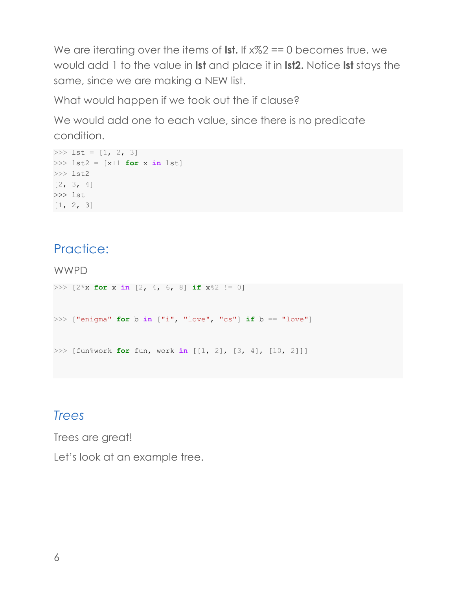We are iterating over the items of **lst.** If  $x\frac{1}{2}$  = 0 becomes true, we would add 1 to the value in **lst** and place it in **lst2.** Notice **lst** stays the same, since we are making a NEW list.

What would happen if we took out the if clause?

We would add one to each value, since there is no predicate condition.

```
>>> 1st = [1, 2, 3]>>> lst2 = [x+1 for x in lst]
>>> lst2
[2, 3, 4]>>> lst
[1, 2, 3]
```
## Practice:

WWPD

```
>>> [2*x for x in [2, 4, 6, 8] if x%2 != 0]
>>> ["enigma" for b in ["i", "love", "cs"] if b == "love"]
>>> [fun%work for fun, work in [[1, 2], [3, 4], [10, 2]]]
```
# *Trees*

Trees are great!

Let's look at an example tree.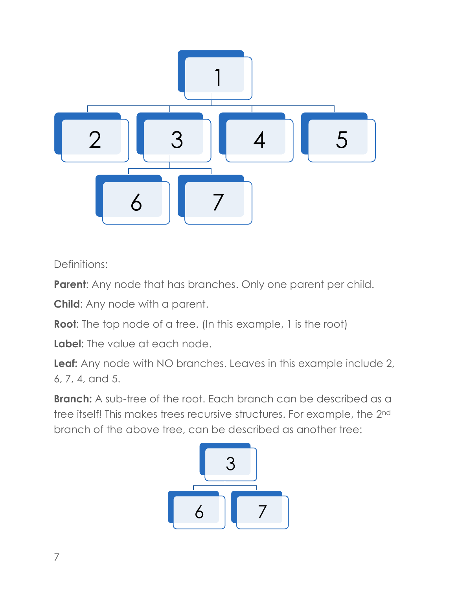

Definitions:

**Parent:** Any node that has branches. Only one parent per child.

**Child**: Any node with a parent.

**Root**: The top node of a tree. (In this example, 1 is the root)

**Label:** The value at each node.

**Leaf:** Any node with NO branches. Leaves in this example include 2, 6, 7, 4, and 5.

**Branch:** A sub-tree of the root. Each branch can be described as a tree itself! This makes trees recursive structures. For example, the 2nd branch of the above tree, can be described as another tree:

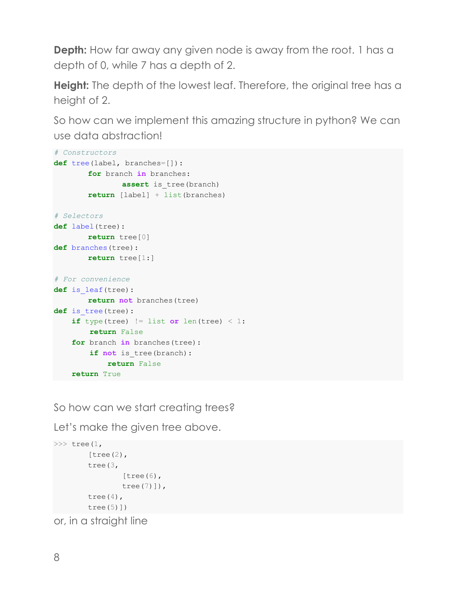**Depth:** How far away any given node is away from the root. 1 has a depth of 0, while 7 has a depth of 2.

**Height:** The depth of the lowest leaf. Therefore, the original tree has a height of 2.

So how can we implement this amazing structure in python? We can use data abstraction!

```
# Constructors
def tree(label, branches=[]):
       for branch in branches: 
               assert is tree(branch)
       return [label] + list(branches)
# Selectors
def label(tree):
       return tree[0] 
def branches(tree):
       return tree[1:]
# For convenience 
def is_leaf(tree):
       return not branches(tree)
def is tree(tree):
    if type(tree) != list or len(tree) \leq 1:
         return False
     for branch in branches(tree):
       if not is tree(branch):
             return False
     return True
```
So how can we start creating trees?

Let's make the given tree above.

```
\gg tree(1,
        [tree(2),tree(3, 
                [tree(6),]tree(7)]),
        tree(4),
        tree(5)])
```
or, in a straight line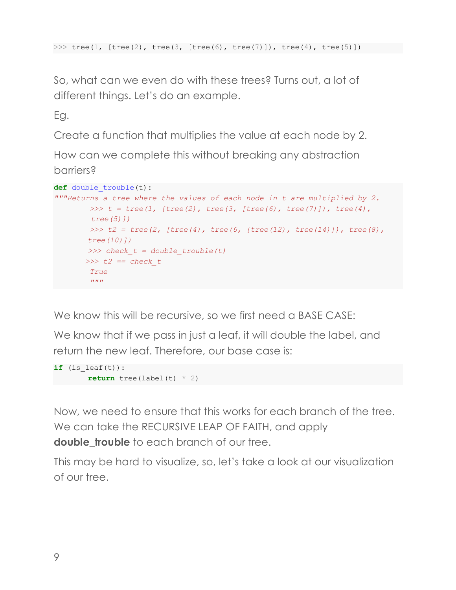```
>>> tree(1, [tree(2), tree(3, [tree(6), tree(7)]), tree(4), tree(5)])
```
So, what can we even do with these trees? Turns out, a lot of different things. Let's do an example.

Eg.

Create a function that multiplies the value at each node by 2.

How can we complete this without breaking any abstraction barriers?

```
def double_trouble(t):
"""Returns a tree where the values of each node in t are multiplied by 2.
        \Rightarrow \ge t = tree(1, [tree(2), tree(3, [tree(6), tree(7)]), tree(4),tree(5)])
         >>> t2 = tree(2, [tree(4), tree(6, [tree(12), tree(14)]), tree(8), 
        tree(10)])
         >>> check_t = double_trouble(t)
        >>> t2 == check_t
         True
        '"" ''"
```
We know this will be recursive, so we first need a BASE CASE:

We know that if we pass in just a leaf, it will double the label, and return the new leaf. Therefore, our base case is:

```
if (is leaf(t)):
       return tree(label(t) * 2)
```
Now, we need to ensure that this works for each branch of the tree. We can take the RECURSIVE LEAP OF FAITH, and apply **double trouble** to each branch of our tree.

This may be hard to visualize, so, let's take a look at our visualization of our tree.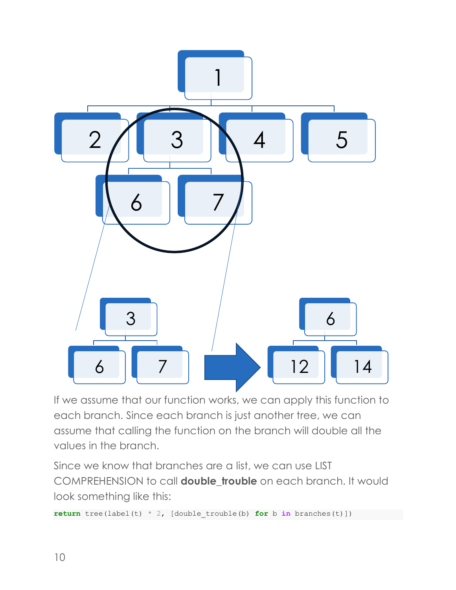

If we assume that our function works, we can apply this function to each branch. Since each branch is just another tree, we can assume that calling the function on the branch will double all the values in the branch.

Since we know that branches are a list, we can use LIST COMPREHENSION to call **double\_trouble** on each branch. It would look something like this:

**return** tree(label(t) \* 2, [double trouble(b) **for** b **in** branches(t)])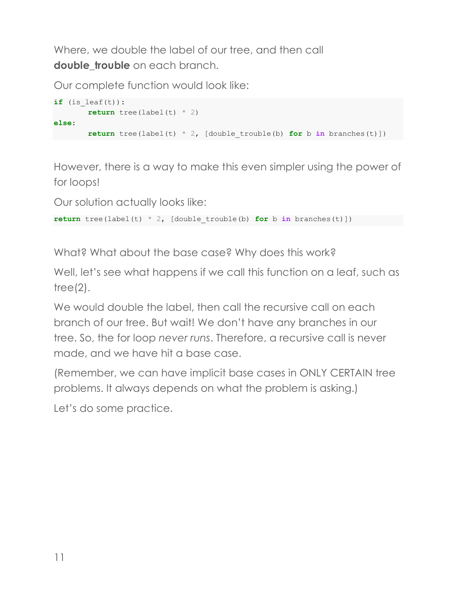Where, we double the label of our tree, and then call **double trouble** on each branch.

Our complete function would look like:

```
if (is leaf(t)):
       return tree(label(t) * 2)
else:
       return tree(label(t) * 2, [double trouble(b) for b in branches(t)])
```
However, there is a way to make this even simpler using the power of for loops!

Our solution actually looks like:

**return** tree(label(t)  $*$  2, [double trouble(b) **for** b **in** branches(t)])

What? What about the base case? Why does this work?

Well, let's see what happens if we call this function on a leaf, such as tree $(2)$ .

We would double the label, then call the recursive call on each branch of our tree. But wait! We don't have any branches in our tree. So, the for loop *never runs*. Therefore, a recursive call is never made, and we have hit a base case.

(Remember, we can have implicit base cases in ONLY CERTAIN tree problems. It always depends on what the problem is asking.)

Let's do some practice.